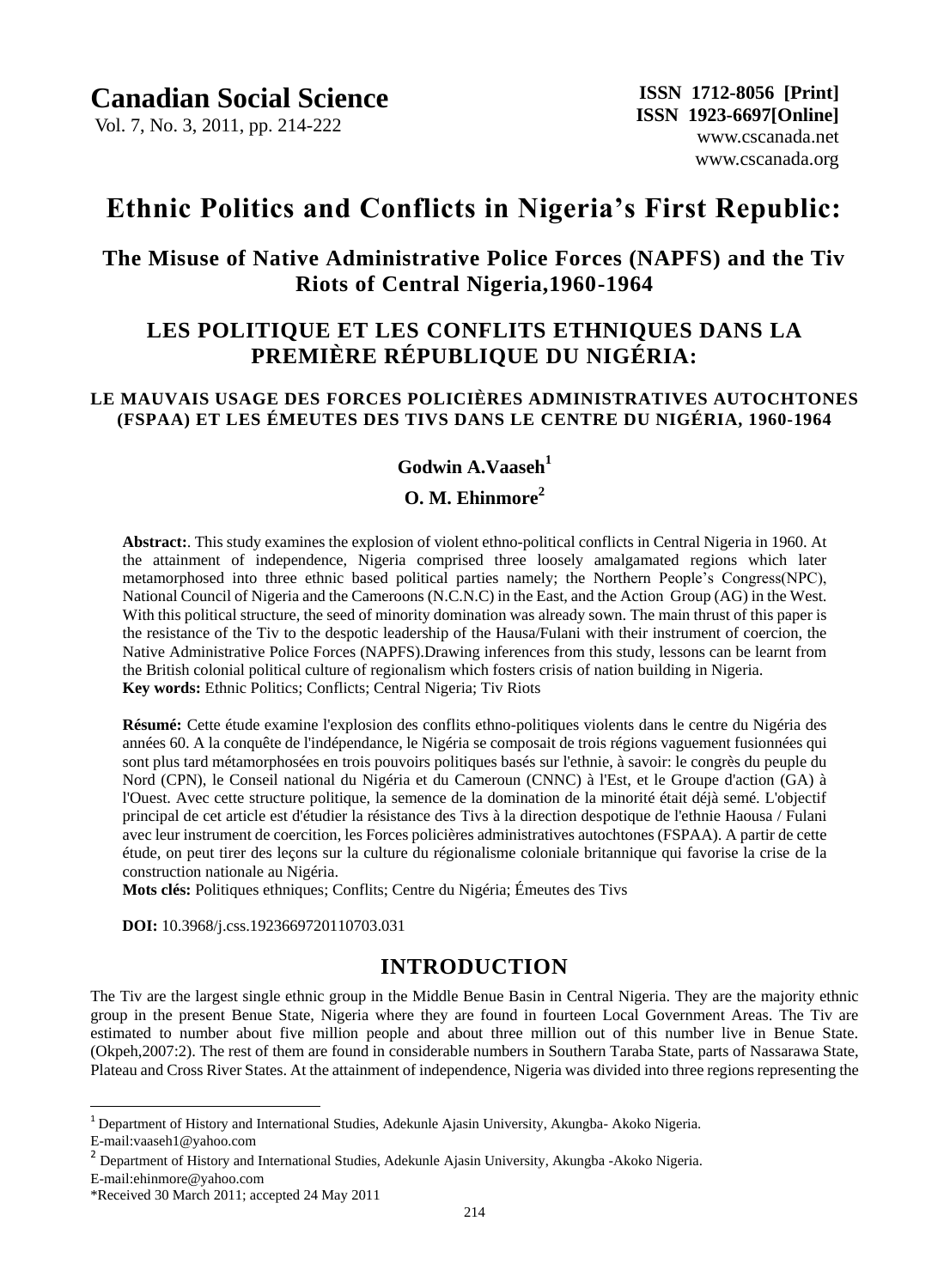Vol. 7, No. 3, 2011, pp. 214-222

# **Ethnic Politics and Conflicts in Nigeria's First Republic:**

## **The Misuse of Native Administrative Police Forces (NAPFS) and the Tiv Riots of Central Nigeria,1960-1964**

## **LES POLITIQUE ET LES CONFLITS ETHNIQUES DANS LA PREMIÈRE RÉPUBLIQUE DU NIGÉRIA:**

#### **LE MAUVAIS USAGE DES FORCES POLICIÈRES ADMINISTRATIVES AUTOCHTONES (FSPAA) ET LES ÉMEUTES DES TIVS DANS LE CENTRE DU NIGÉRIA, 1960-1964**

#### **Godwin A.Vaaseh<sup>1</sup>**

## **O. M. Ehinmore<sup>2</sup>**

**Abstract:**. This study examines the explosion of violent ethno-political conflicts in Central Nigeria in 1960. At the attainment of independence, Nigeria comprised three loosely amalgamated regions which later metamorphosed into three ethnic based political parties namely; the Northern People"s Congress(NPC), National Council of Nigeria and the Cameroons (N.C.N.C) in the East, and the Action Group (AG) in the West. With this political structure, the seed of minority domination was already sown. The main thrust of this paper is the resistance of the Tiv to the despotic leadership of the Hausa/Fulani with their instrument of coercion, the Native Administrative Police Forces (NAPFS).Drawing inferences from this study, lessons can be learnt from the British colonial political culture of regionalism which fosters crisis of nation building in Nigeria. **Key words:** Ethnic Politics; Conflicts; Central Nigeria; Tiv Riots

**Résumé:** Cette étude examine l'explosion des conflits ethno-politiques violents dans le centre du Nigéria des années 60. A la conquête de l'indépendance, le Nigéria se composait de trois régions vaguement fusionnées qui sont plus tard métamorphosées en trois pouvoirs politiques basés sur l'ethnie, à savoir: le congrès du peuple du Nord (CPN), le Conseil national du Nigéria et du Cameroun (CNNC) à l'Est, et le Groupe d'action (GA) à l'Ouest. Avec cette structure politique, la semence de la domination de la minorité était déjà semé. L'objectif principal de cet article est d'étudier la résistance des Tivs à la direction despotique de l'ethnie Haousa / Fulani avec leur instrument de coercition, les Forces policières administratives autochtones (FSPAA). A partir de cette étude, on peut tirer des leçons sur la culture du régionalisme coloniale britannique qui favorise la crise de la construction nationale au Nigéria.

**Mots clés:** Politiques ethniques; Conflits; Centre du Nigéria; Émeutes des Tivs

 **DOI:** 10.3968/j.css.1923669720110703.031

## **INTRODUCTION**

The Tiv are the largest single ethnic group in the Middle Benue Basin in Central Nigeria. They are the majority ethnic group in the present Benue State, Nigeria where they are found in fourteen Local Government Areas. The Tiv are estimated to number about five million people and about three million out of this number live in Benue State. (Okpeh,2007:2). The rest of them are found in considerable numbers in Southern Taraba State, parts of Nassarawa State, Plateau and Cross River States. At the attainment of independence, Nigeria was divided into three regions representing the

 $\overline{a}$ 

<sup>1</sup> Department of History and International Studies, Adekunle Ajasin University, Akungba- Akoko Nigeria. E-mail:vaaseh1@yahoo.com

<sup>&</sup>lt;sup>2</sup> Department of History and International Studies, Adekunle Ajasin University, Akungba -Akoko Nigeria. E-mail:ehinmore@yahoo.com

<sup>\*</sup>Received 30 March 2011; accepted 24 May 2011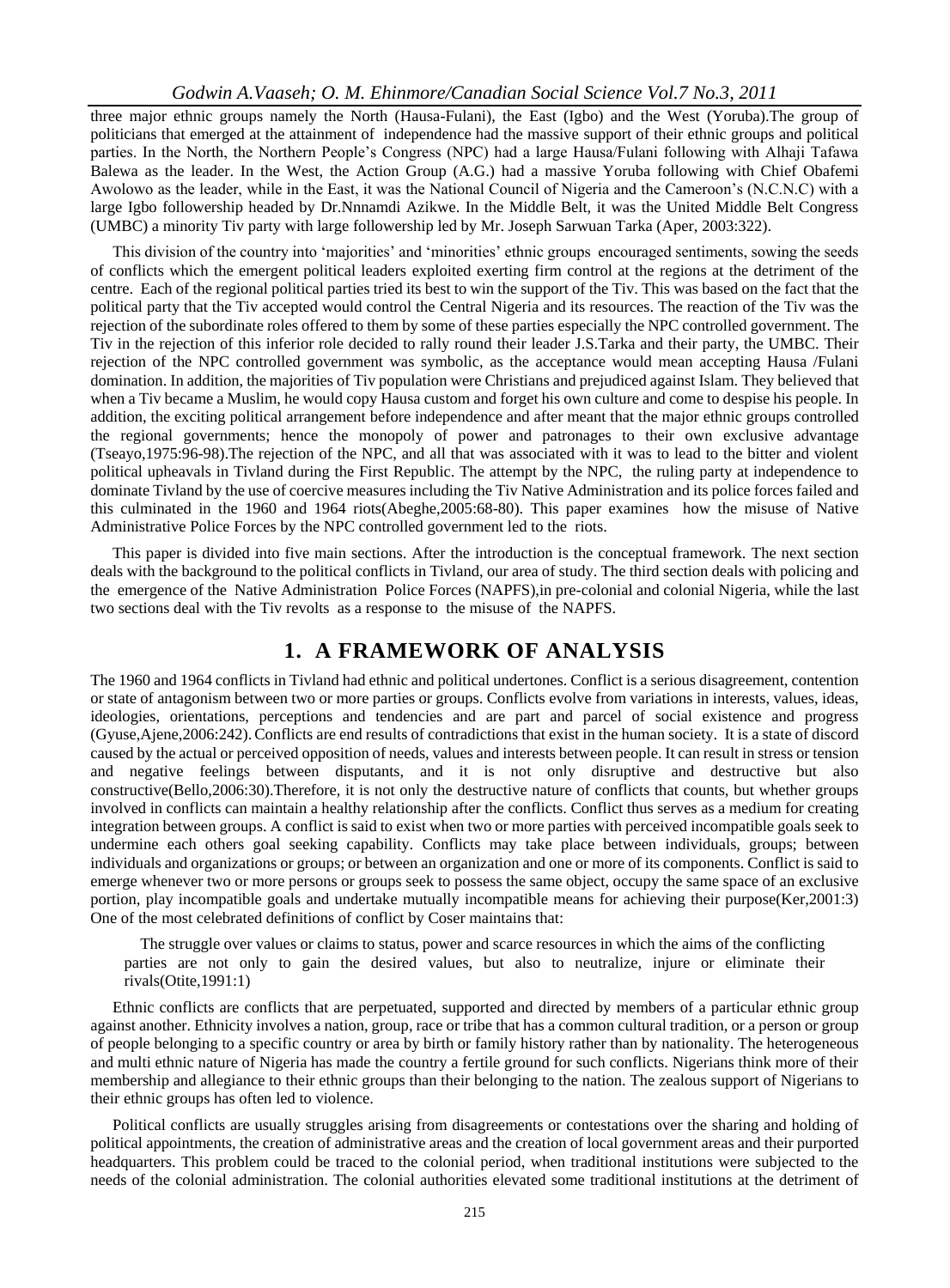#### *Godwin A.Vaaseh; O. M. Ehinmore/Canadian Social Science Vol.7 No.3, 2011*

three major ethnic groups namely the North (Hausa-Fulani), the East (Igbo) and the West (Yoruba).The group of politicians that emerged at the attainment of independence had the massive support of their ethnic groups and political parties. In the North, the Northern People"s Congress (NPC) had a large Hausa/Fulani following with Alhaji Tafawa Balewa as the leader. In the West, the Action Group (A.G.) had a massive Yoruba following with Chief Obafemi Awolowo as the leader, while in the East, it was the National Council of Nigeria and the Cameroon"s (N.C.N.C) with a large Igbo followership headed by Dr.Nnnamdi Azikwe. In the Middle Belt, it was the United Middle Belt Congress (UMBC) a minority Tiv party with large followership led by Mr. Joseph Sarwuan Tarka (Aper, 2003:322).

This division of the country into "majorities" and "minorities" ethnic groups encouraged sentiments, sowing the seeds of conflicts which the emergent political leaders exploited exerting firm control at the regions at the detriment of the centre. Each of the regional political parties tried its best to win the support of the Tiv. This was based on the fact that the political party that the Tiv accepted would control the Central Nigeria and its resources. The reaction of the Tiv was the rejection of the subordinate roles offered to them by some of these parties especially the NPC controlled government. The Tiv in the rejection of this inferior role decided to rally round their leader J.S.Tarka and their party, the UMBC. Their rejection of the NPC controlled government was symbolic, as the acceptance would mean accepting Hausa /Fulani domination. In addition, the majorities of Tiv population were Christians and prejudiced against Islam. They believed that when a Tiv became a Muslim, he would copy Hausa custom and forget his own culture and come to despise his people. In addition, the exciting political arrangement before independence and after meant that the major ethnic groups controlled the regional governments; hence the monopoly of power and patronages to their own exclusive advantage (Tseayo,1975:96-98).The rejection of the NPC, and all that was associated with it was to lead to the bitter and violent political upheavals in Tivland during the First Republic. The attempt by the NPC, the ruling party at independence to dominate Tivland by the use of coercive measures including the Tiv Native Administration and its police forces failed and this culminated in the 1960 and 1964 riots(Abeghe,2005:68-80). This paper examines how the misuse of Native Administrative Police Forces by the NPC controlled government led to the riots.

This paper is divided into five main sections. After the introduction is the conceptual framework. The next section deals with the background to the political conflicts in Tivland, our area of study. The third section deals with policing and the emergence of the Native Administration Police Forces (NAPFS),in pre-colonial and colonial Nigeria, while the last two sections deal with the Tiv revolts as a response to the misuse of the NAPFS.

#### **1. A FRAMEWORK OF ANALYSIS**

The 1960 and 1964 conflicts in Tivland had ethnic and political undertones. Conflict is a serious disagreement, contention or state of antagonism between two or more parties or groups. Conflicts evolve from variations in interests, values, ideas, ideologies, orientations, perceptions and tendencies and are part and parcel of social existence and progress (Gyuse,Ajene,2006:242).Conflicts are end results of contradictions that exist in the human society. It is a state of discord caused by the actual or perceived opposition of needs, values and interests between people. It can result in stress or tension and negative feelings between disputants, and it is not only disruptive and destructive but also constructive(Bello,2006:30).Therefore, it is not only the destructive nature of conflicts that counts, but whether groups involved in conflicts can maintain a healthy relationship after the conflicts. Conflict thus serves as a medium for creating integration between groups. A conflict is said to exist when two or more parties with perceived incompatible goals seek to undermine each others goal seeking capability. Conflicts may take place between individuals, groups; between individuals and organizations or groups; or between an organization and one or more of its components. Conflict is said to emerge whenever two or more persons or groups seek to possess the same object, occupy the same space of an exclusive portion, play incompatible goals and undertake mutually incompatible means for achieving their purpose(Ker,2001:3) One of the most celebrated definitions of conflict by Coser maintains that:

The struggle over values or claims to status, power and scarce resources in which the aims of the conflicting parties are not only to gain the desired values, but also to neutralize, injure or eliminate their rivals(Otite,1991:1)

Ethnic conflicts are conflicts that are perpetuated, supported and directed by members of a particular ethnic group against another. Ethnicity involves a nation, group, race or tribe that has a common cultural tradition, or a person or group of people belonging to a specific country or area by birth or family history rather than by nationality. The heterogeneous and multi ethnic nature of Nigeria has made the country a fertile ground for such conflicts. Nigerians think more of their membership and allegiance to their ethnic groups than their belonging to the nation. The zealous support of Nigerians to their ethnic groups has often led to violence.

Political conflicts are usually struggles arising from disagreements or contestations over the sharing and holding of political appointments, the creation of administrative areas and the creation of local government areas and their purported headquarters. This problem could be traced to the colonial period, when traditional institutions were subjected to the needs of the colonial administration. The colonial authorities elevated some traditional institutions at the detriment of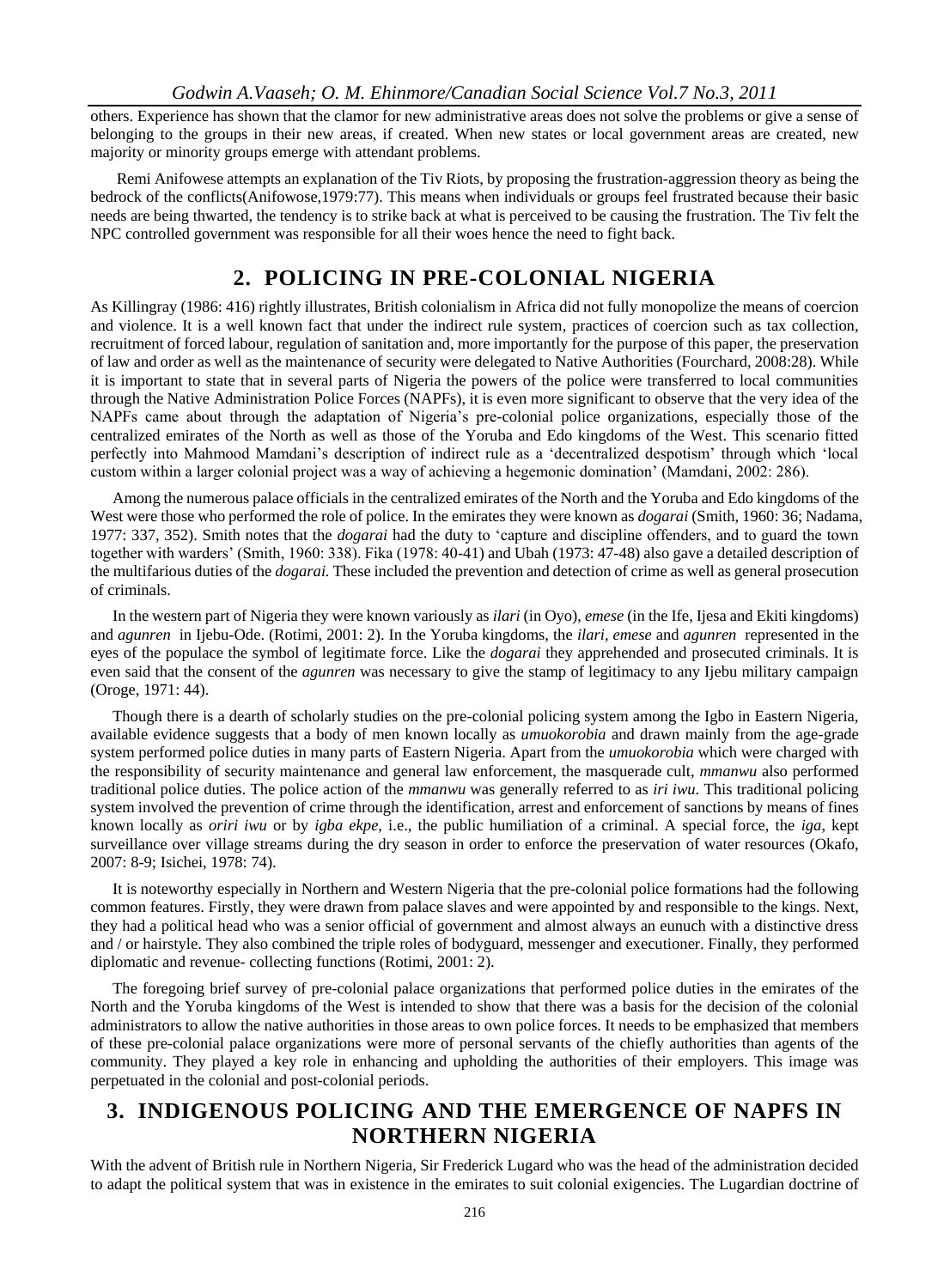others. Experience has shown that the clamor for new administrative areas does not solve the problems or give a sense of belonging to the groups in their new areas, if created. When new states or local government areas are created, new majority or minority groups emerge with attendant problems.

Remi Anifowese attempts an explanation of the Tiv Riots, by proposing the frustration-aggression theory as being the bedrock of the conflicts(Anifowose,1979:77). This means when individuals or groups feel frustrated because their basic needs are being thwarted, the tendency is to strike back at what is perceived to be causing the frustration. The Tiv felt the NPC controlled government was responsible for all their woes hence the need to fight back.

### **2. POLICING IN PRE-COLONIAL NIGERIA**

As Killingray (1986: 416) rightly illustrates, British colonialism in Africa did not fully monopolize the means of coercion and violence. It is a well known fact that under the indirect rule system, practices of coercion such as tax collection, recruitment of forced labour, regulation of sanitation and, more importantly for the purpose of this paper, the preservation of law and order as well as the maintenance of security were delegated to Native Authorities (Fourchard, 2008:28). While it is important to state that in several parts of Nigeria the powers of the police were transferred to local communities through the Native Administration Police Forces (NAPFs), it is even more significant to observe that the very idea of the NAPFs came about through the adaptation of Nigeria"s pre-colonial police organizations, especially those of the centralized emirates of the North as well as those of the Yoruba and Edo kingdoms of the West. This scenario fitted perfectly into Mahmood Mamdani"s description of indirect rule as a "decentralized despotism" through which "local custom within a larger colonial project was a way of achieving a hegemonic domination" (Mamdani, 2002: 286).

Among the numerous palace officials in the centralized emirates of the North and the Yoruba and Edo kingdoms of the West were those who performed the role of police. In the emirates they were known as *dogarai* (Smith, 1960: 36; Nadama, 1977: 337, 352). Smith notes that the *dogarai* had the duty to "capture and discipline offenders, and to guard the town together with warders" (Smith, 1960: 338). Fika (1978: 40-41) and Ubah (1973: 47-48) also gave a detailed description of the multifarious duties of the *dogarai.* These included the prevention and detection of crime as well as general prosecution of criminals.

In the western part of Nigeria they were known variously as *ilari* (in Oyo), *emese* (in the Ife, Ijesa and Ekiti kingdoms) and *agunren* in Ijebu-Ode. (Rotimi, 2001: 2). In the Yoruba kingdoms, the *ilari, emese* and *agunren* represented in the eyes of the populace the symbol of legitimate force. Like the *dogarai* they apprehended and prosecuted criminals. It is even said that the consent of the *agunren* was necessary to give the stamp of legitimacy to any Ijebu military campaign (Oroge, 1971: 44).

Though there is a dearth of scholarly studies on the pre-colonial policing system among the Igbo in Eastern Nigeria, available evidence suggests that a body of men known locally as *umuokorobia* and drawn mainly from the age-grade system performed police duties in many parts of Eastern Nigeria. Apart from the *umuokorobia* which were charged with the responsibility of security maintenance and general law enforcement, the masquerade cult, *mmanwu* also performed traditional police duties. The police action of the *mmanwu* was generally referred to as *iri iwu*. This traditional policing system involved the prevention of crime through the identification, arrest and enforcement of sanctions by means of fines known locally as *oriri iwu* or by *igba ekpe*, i.e., the public humiliation of a criminal. A special force, the *iga*, kept surveillance over village streams during the dry season in order to enforce the preservation of water resources (Okafo, 2007: 8-9; Isichei, 1978: 74).

It is noteworthy especially in Northern and Western Nigeria that the pre-colonial police formations had the following common features. Firstly, they were drawn from palace slaves and were appointed by and responsible to the kings. Next, they had a political head who was a senior official of government and almost always an eunuch with a distinctive dress and / or hairstyle. They also combined the triple roles of bodyguard, messenger and executioner. Finally, they performed diplomatic and revenue- collecting functions (Rotimi, 2001: 2).

The foregoing brief survey of pre-colonial palace organizations that performed police duties in the emirates of the North and the Yoruba kingdoms of the West is intended to show that there was a basis for the decision of the colonial administrators to allow the native authorities in those areas to own police forces. It needs to be emphasized that members of these pre-colonial palace organizations were more of personal servants of the chiefly authorities than agents of the community. They played a key role in enhancing and upholding the authorities of their employers. This image was perpetuated in the colonial and post-colonial periods.

## **3. INDIGENOUS POLICING AND THE EMERGENCE OF NAPFS IN NORTHERN NIGERIA**

With the advent of British rule in Northern Nigeria, Sir Frederick Lugard who was the head of the administration decided to adapt the political system that was in existence in the emirates to suit colonial exigencies. The Lugardian doctrine of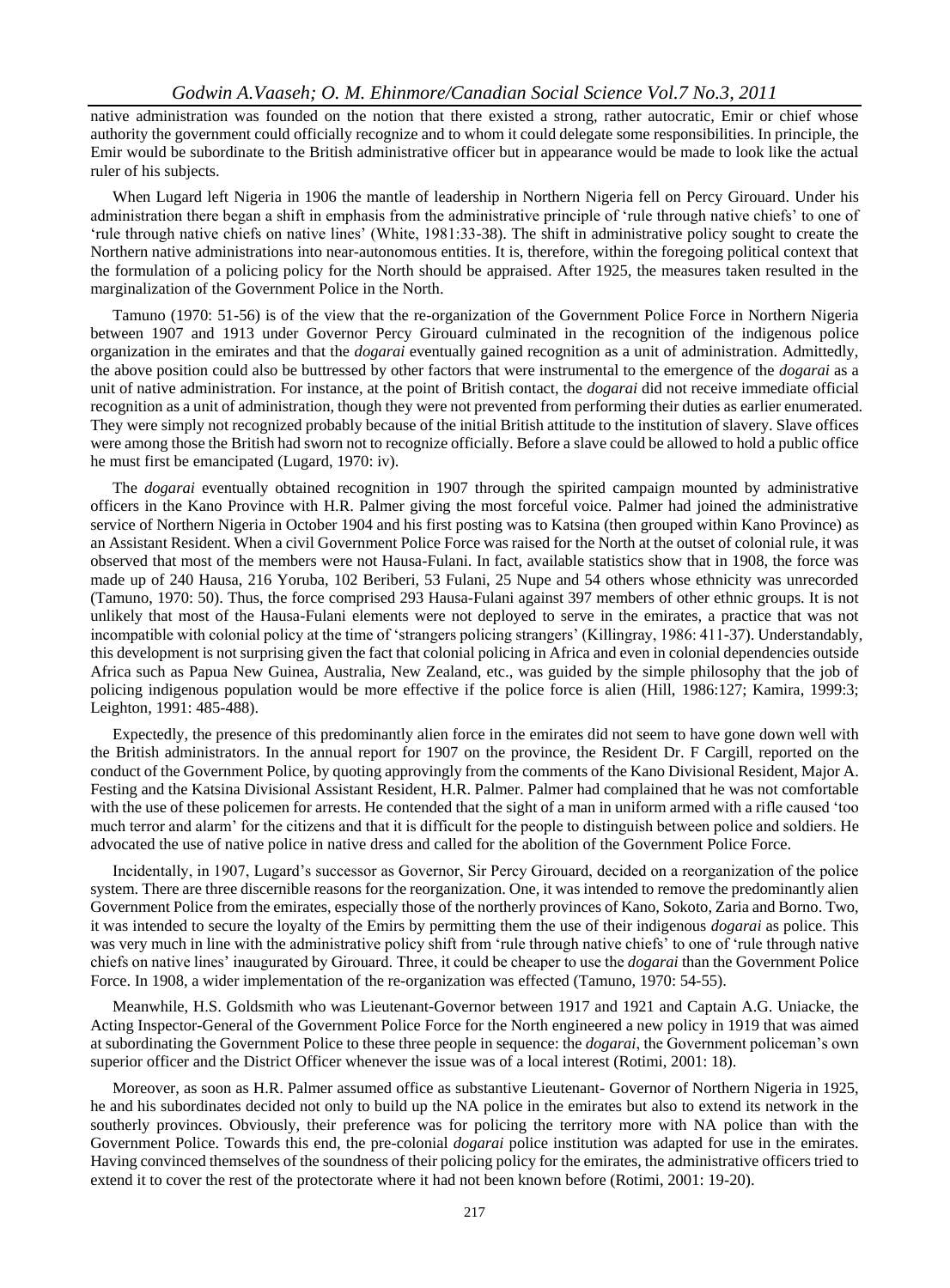native administration was founded on the notion that there existed a strong, rather autocratic, Emir or chief whose authority the government could officially recognize and to whom it could delegate some responsibilities. In principle, the Emir would be subordinate to the British administrative officer but in appearance would be made to look like the actual ruler of his subjects.

When Lugard left Nigeria in 1906 the mantle of leadership in Northern Nigeria fell on Percy Girouard. Under his administration there began a shift in emphasis from the administrative principle of "rule through native chiefs" to one of "rule through native chiefs on native lines" (White, 1981:33-38). The shift in administrative policy sought to create the Northern native administrations into near-autonomous entities. It is, therefore, within the foregoing political context that the formulation of a policing policy for the North should be appraised. After 1925, the measures taken resulted in the marginalization of the Government Police in the North.

Tamuno (1970: 51-56) is of the view that the re-organization of the Government Police Force in Northern Nigeria between 1907 and 1913 under Governor Percy Girouard culminated in the recognition of the indigenous police organization in the emirates and that the *dogarai* eventually gained recognition as a unit of administration. Admittedly, the above position could also be buttressed by other factors that were instrumental to the emergence of the *dogarai* as a unit of native administration. For instance, at the point of British contact, the *dogarai* did not receive immediate official recognition as a unit of administration, though they were not prevented from performing their duties as earlier enumerated. They were simply not recognized probably because of the initial British attitude to the institution of slavery. Slave offices were among those the British had sworn not to recognize officially. Before a slave could be allowed to hold a public office he must first be emancipated (Lugard, 1970: iv).

The *dogarai* eventually obtained recognition in 1907 through the spirited campaign mounted by administrative officers in the Kano Province with H.R. Palmer giving the most forceful voice. Palmer had joined the administrative service of Northern Nigeria in October 1904 and his first posting was to Katsina (then grouped within Kano Province) as an Assistant Resident. When a civil Government Police Force was raised for the North at the outset of colonial rule, it was observed that most of the members were not Hausa-Fulani. In fact, available statistics show that in 1908, the force was made up of 240 Hausa, 216 Yoruba, 102 Beriberi, 53 Fulani, 25 Nupe and 54 others whose ethnicity was unrecorded (Tamuno, 1970: 50). Thus, the force comprised 293 Hausa-Fulani against 397 members of other ethnic groups. It is not unlikely that most of the Hausa-Fulani elements were not deployed to serve in the emirates, a practice that was not incompatible with colonial policy at the time of "strangers policing strangers" (Killingray, 1986: 411-37). Understandably, this development is not surprising given the fact that colonial policing in Africa and even in colonial dependencies outside Africa such as Papua New Guinea, Australia, New Zealand, etc., was guided by the simple philosophy that the job of policing indigenous population would be more effective if the police force is alien (Hill, 1986:127; Kamira, 1999:3; Leighton, 1991: 485-488).

Expectedly, the presence of this predominantly alien force in the emirates did not seem to have gone down well with the British administrators. In the annual report for 1907 on the province, the Resident Dr. F Cargill, reported on the conduct of the Government Police, by quoting approvingly from the comments of the Kano Divisional Resident, Major A. Festing and the Katsina Divisional Assistant Resident, H.R. Palmer. Palmer had complained that he was not comfortable with the use of these policemen for arrests. He contended that the sight of a man in uniform armed with a rifle caused 'too much terror and alarm" for the citizens and that it is difficult for the people to distinguish between police and soldiers. He advocated the use of native police in native dress and called for the abolition of the Government Police Force.

Incidentally, in 1907, Lugard"s successor as Governor, Sir Percy Girouard, decided on a reorganization of the police system. There are three discernible reasons for the reorganization. One, it was intended to remove the predominantly alien Government Police from the emirates, especially those of the northerly provinces of Kano, Sokoto, Zaria and Borno. Two, it was intended to secure the loyalty of the Emirs by permitting them the use of their indigenous *dogarai* as police. This was very much in line with the administrative policy shift from "rule through native chiefs" to one of "rule through native chiefs on native lines" inaugurated by Girouard. Three, it could be cheaper to use the *dogarai* than the Government Police Force. In 1908, a wider implementation of the re-organization was effected (Tamuno, 1970: 54-55).

Meanwhile, H.S. Goldsmith who was Lieutenant-Governor between 1917 and 1921 and Captain A.G. Uniacke, the Acting Inspector-General of the Government Police Force for the North engineered a new policy in 1919 that was aimed at subordinating the Government Police to these three people in sequence: the *dogarai*, the Government policeman"s own superior officer and the District Officer whenever the issue was of a local interest (Rotimi, 2001: 18).

Moreover, as soon as H.R. Palmer assumed office as substantive Lieutenant- Governor of Northern Nigeria in 1925, he and his subordinates decided not only to build up the NA police in the emirates but also to extend its network in the southerly provinces. Obviously, their preference was for policing the territory more with NA police than with the Government Police. Towards this end, the pre-colonial *dogarai* police institution was adapted for use in the emirates. Having convinced themselves of the soundness of their policing policy for the emirates, the administrative officers tried to extend it to cover the rest of the protectorate where it had not been known before (Rotimi, 2001: 19-20).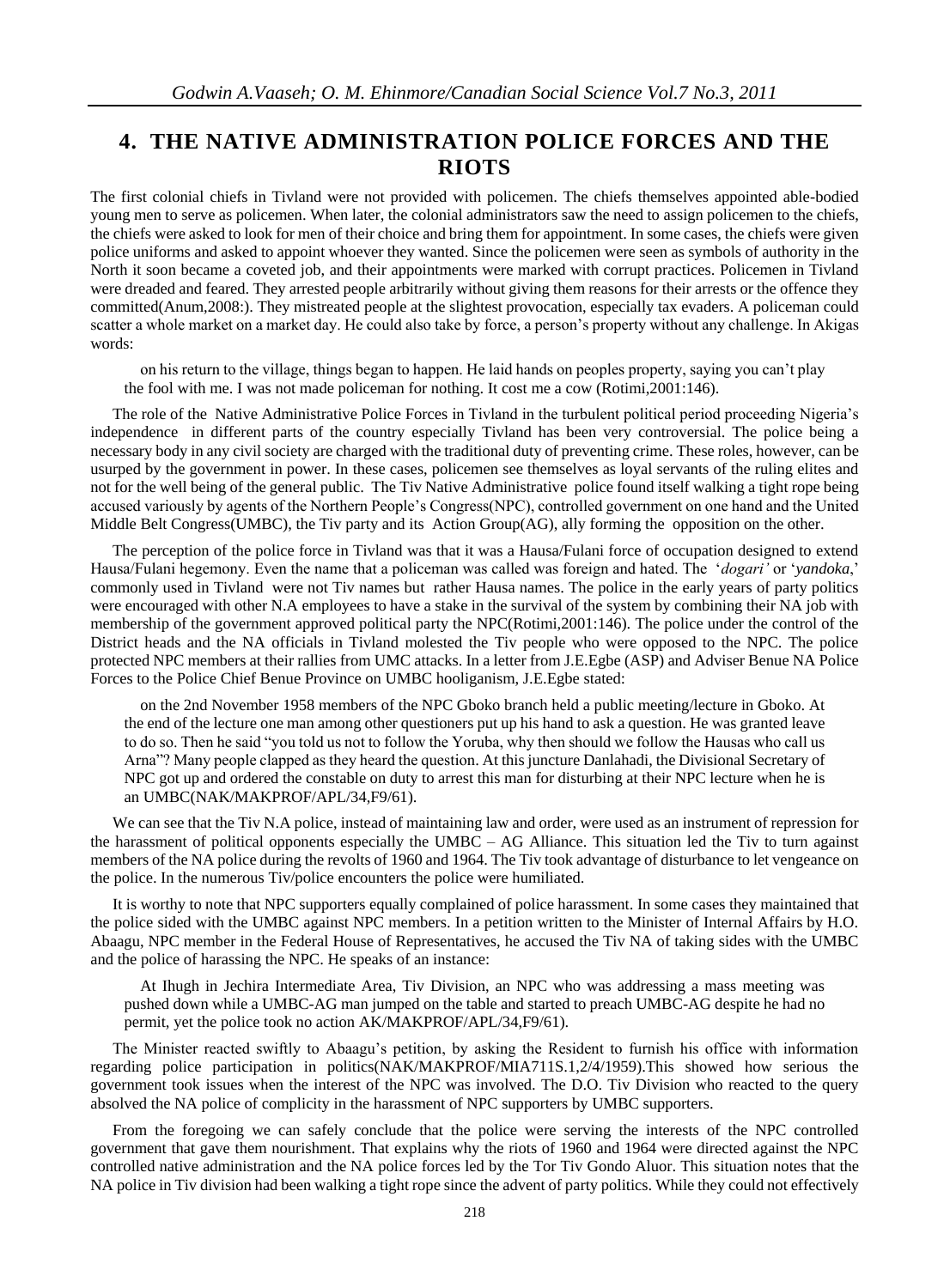### **4. THE NATIVE ADMINISTRATION POLICE FORCES AND THE RIOTS**

The first colonial chiefs in Tivland were not provided with policemen. The chiefs themselves appointed able-bodied young men to serve as policemen. When later, the colonial administrators saw the need to assign policemen to the chiefs, the chiefs were asked to look for men of their choice and bring them for appointment. In some cases, the chiefs were given police uniforms and asked to appoint whoever they wanted. Since the policemen were seen as symbols of authority in the North it soon became a coveted job, and their appointments were marked with corrupt practices. Policemen in Tivland were dreaded and feared. They arrested people arbitrarily without giving them reasons for their arrests or the offence they committed(Anum,2008:). They mistreated people at the slightest provocation, especially tax evaders. A policeman could scatter a whole market on a market day. He could also take by force, a person"s property without any challenge. In Akigas words:

on his return to the village, things began to happen. He laid hands on peoples property, saying you can"t play the fool with me. I was not made policeman for nothing. It cost me a cow (Rotimi,2001:146).

The role of the Native Administrative Police Forces in Tivland in the turbulent political period proceeding Nigeria"s independence in different parts of the country especially Tivland has been very controversial. The police being a necessary body in any civil society are charged with the traditional duty of preventing crime. These roles, however, can be usurped by the government in power. In these cases, policemen see themselves as loyal servants of the ruling elites and not for the well being of the general public. The Tiv Native Administrative police found itself walking a tight rope being accused variously by agents of the Northern People"s Congress(NPC), controlled government on one hand and the United Middle Belt Congress(UMBC), the Tiv party and its Action Group(AG), ally forming the opposition on the other.

The perception of the police force in Tivland was that it was a Hausa/Fulani force of occupation designed to extend Hausa/Fulani hegemony. Even the name that a policeman was called was foreign and hated. The "*dogari'* or "*yandoka*," commonly used in Tivland were not Tiv names but rather Hausa names. The police in the early years of party politics were encouraged with other N.A employees to have a stake in the survival of the system by combining their NA job with membership of the government approved political party the NPC(Rotimi,2001:146). The police under the control of the District heads and the NA officials in Tivland molested the Tiv people who were opposed to the NPC. The police protected NPC members at their rallies from UMC attacks. In a letter from J.E.Egbe (ASP) and Adviser Benue NA Police Forces to the Police Chief Benue Province on UMBC hooliganism, J.E.Egbe stated:

on the 2nd November 1958 members of the NPC Gboko branch held a public meeting/lecture in Gboko. At the end of the lecture one man among other questioners put up his hand to ask a question. He was granted leave to do so. Then he said "you told us not to follow the Yoruba, why then should we follow the Hausas who call us Arna"? Many people clapped as they heard the question. At this juncture Danlahadi, the Divisional Secretary of NPC got up and ordered the constable on duty to arrest this man for disturbing at their NPC lecture when he is an UMBC(NAK/MAKPROF/APL/34,F9/61).

We can see that the Tiv N.A police, instead of maintaining law and order, were used as an instrument of repression for the harassment of political opponents especially the UMBC – AG Alliance. This situation led the Tiv to turn against members of the NA police during the revolts of 1960 and 1964. The Tiv took advantage of disturbance to let vengeance on the police. In the numerous Tiv/police encounters the police were humiliated.

It is worthy to note that NPC supporters equally complained of police harassment. In some cases they maintained that the police sided with the UMBC against NPC members. In a petition written to the Minister of Internal Affairs by H.O. Abaagu, NPC member in the Federal House of Representatives, he accused the Tiv NA of taking sides with the UMBC and the police of harassing the NPC. He speaks of an instance:

At Ihugh in Jechira Intermediate Area, Tiv Division, an NPC who was addressing a mass meeting was pushed down while a UMBC-AG man jumped on the table and started to preach UMBC-AG despite he had no permit, yet the police took no action AK/MAKPROF/APL/34,F9/61).

The Minister reacted swiftly to Abaagu"s petition, by asking the Resident to furnish his office with information regarding police participation in politics(NAK/MAKPROF/MIA711S.1,2/4/1959).This showed how serious the government took issues when the interest of the NPC was involved. The D.O. Tiv Division who reacted to the query absolved the NA police of complicity in the harassment of NPC supporters by UMBC supporters.

From the foregoing we can safely conclude that the police were serving the interests of the NPC controlled government that gave them nourishment. That explains why the riots of 1960 and 1964 were directed against the NPC controlled native administration and the NA police forces led by the Tor Tiv Gondo Aluor. This situation notes that the NA police in Tiv division had been walking a tight rope since the advent of party politics. While they could not effectively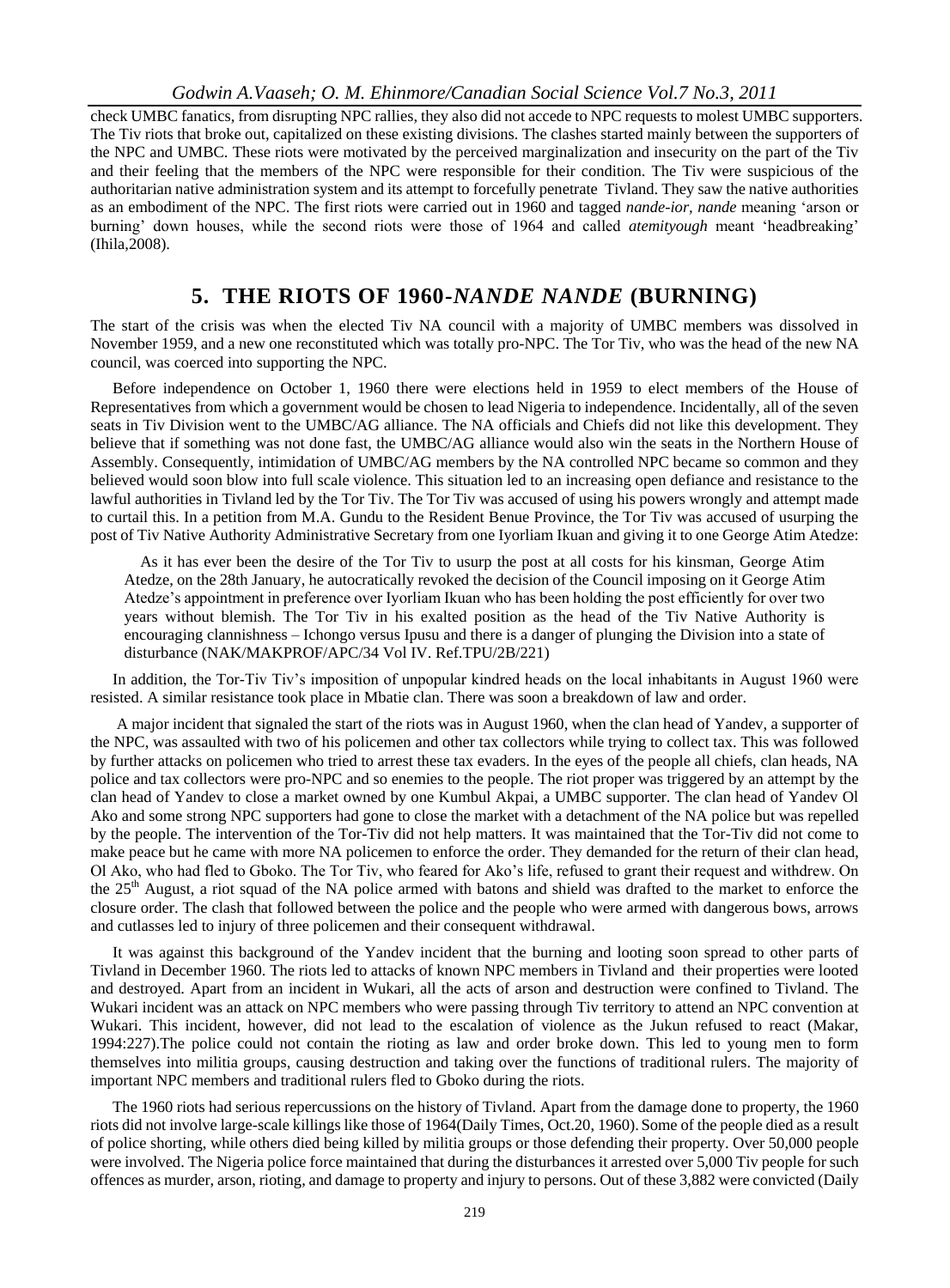#### *Godwin A.Vaaseh; O. M. Ehinmore/Canadian Social Science Vol.7 No.3, 2011*

check UMBC fanatics, from disrupting NPC rallies, they also did not accede to NPC requests to molest UMBC supporters. The Tiv riots that broke out, capitalized on these existing divisions. The clashes started mainly between the supporters of the NPC and UMBC. These riots were motivated by the perceived marginalization and insecurity on the part of the Tiv and their feeling that the members of the NPC were responsible for their condition. The Tiv were suspicious of the authoritarian native administration system and its attempt to forcefully penetrate Tivland. They saw the native authorities as an embodiment of the NPC. The first riots were carried out in 1960 and tagged *nande*-*ior, nande* meaning "arson or burning" down houses, while the second riots were those of 1964 and called *atemityough* meant "headbreaking" (Ihila,2008).

#### **5. THE RIOTS OF 1960-***NANDE NANDE* **(BURNING)**

The start of the crisis was when the elected Tiv NA council with a majority of UMBC members was dissolved in November 1959, and a new one reconstituted which was totally pro-NPC. The Tor Tiv, who was the head of the new NA council, was coerced into supporting the NPC.

Before independence on October 1, 1960 there were elections held in 1959 to elect members of the House of Representatives from which a government would be chosen to lead Nigeria to independence. Incidentally, all of the seven seats in Tiv Division went to the UMBC/AG alliance. The NA officials and Chiefs did not like this development. They believe that if something was not done fast, the UMBC/AG alliance would also win the seats in the Northern House of Assembly. Consequently, intimidation of UMBC/AG members by the NA controlled NPC became so common and they believed would soon blow into full scale violence. This situation led to an increasing open defiance and resistance to the lawful authorities in Tivland led by the Tor Tiv. The Tor Tiv was accused of using his powers wrongly and attempt made to curtail this. In a petition from M.A. Gundu to the Resident Benue Province, the Tor Tiv was accused of usurping the post of Tiv Native Authority Administrative Secretary from one Iyorliam Ikuan and giving it to one George Atim Atedze:

As it has ever been the desire of the Tor Tiv to usurp the post at all costs for his kinsman, George Atim Atedze, on the 28th January, he autocratically revoked the decision of the Council imposing on it George Atim Atedze"s appointment in preference over Iyorliam Ikuan who has been holding the post efficiently for over two years without blemish. The Tor Tiv in his exalted position as the head of the Tiv Native Authority is encouraging clannishness – Ichongo versus Ipusu and there is a danger of plunging the Division into a state of disturbance (NAK/MAKPROF/APC/34 Vol IV. Ref.TPU/2B/221)

In addition, the Tor-Tiv Tiv"s imposition of unpopular kindred heads on the local inhabitants in August 1960 were resisted. A similar resistance took place in Mbatie clan. There was soon a breakdown of law and order.

A major incident that signaled the start of the riots was in August 1960, when the clan head of Yandev, a supporter of the NPC, was assaulted with two of his policemen and other tax collectors while trying to collect tax. This was followed by further attacks on policemen who tried to arrest these tax evaders. In the eyes of the people all chiefs, clan heads, NA police and tax collectors were pro-NPC and so enemies to the people. The riot proper was triggered by an attempt by the clan head of Yandev to close a market owned by one Kumbul Akpai, a UMBC supporter. The clan head of Yandev Ol Ako and some strong NPC supporters had gone to close the market with a detachment of the NA police but was repelled by the people. The intervention of the Tor-Tiv did not help matters. It was maintained that the Tor-Tiv did not come to make peace but he came with more NA policemen to enforce the order. They demanded for the return of their clan head, Ol Ako, who had fled to Gboko. The Tor Tiv, who feared for Ako"s life, refused to grant their request and withdrew. On the  $25<sup>th</sup>$  August, a riot squad of the NA police armed with batons and shield was drafted to the market to enforce the closure order. The clash that followed between the police and the people who were armed with dangerous bows, arrows and cutlasses led to injury of three policemen and their consequent withdrawal.

It was against this background of the Yandev incident that the burning and looting soon spread to other parts of Tivland in December 1960. The riots led to attacks of known NPC members in Tivland and their properties were looted and destroyed. Apart from an incident in Wukari, all the acts of arson and destruction were confined to Tivland. The Wukari incident was an attack on NPC members who were passing through Tiv territory to attend an NPC convention at Wukari. This incident, however, did not lead to the escalation of violence as the Jukun refused to react (Makar, 1994:227).The police could not contain the rioting as law and order broke down. This led to young men to form themselves into militia groups, causing destruction and taking over the functions of traditional rulers. The majority of important NPC members and traditional rulers fled to Gboko during the riots.

The 1960 riots had serious repercussions on the history of Tivland. Apart from the damage done to property, the 1960 riots did not involve large-scale killings like those of 1964(Daily Times, Oct.20, 1960). Some of the people died as a result of police shorting, while others died being killed by militia groups or those defending their property. Over 50,000 people were involved. The Nigeria police force maintained that during the disturbances it arrested over 5,000 Tiv people for such offences as murder, arson, rioting, and damage to property and injury to persons. Out of these 3,882 were convicted (Daily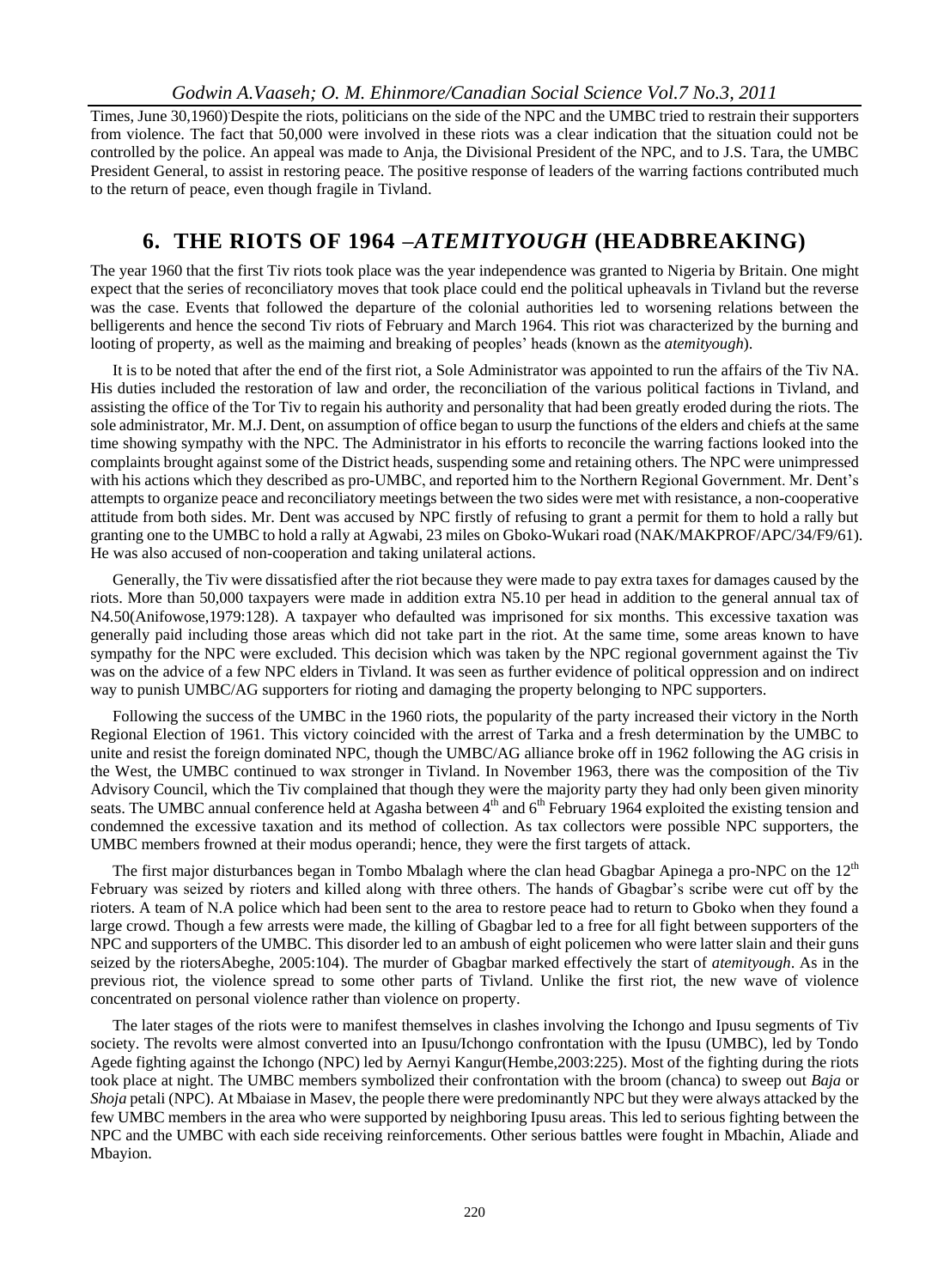Times, June 30,1960).Despite the riots, politicians on the side of the NPC and the UMBC tried to restrain their supporters from violence. The fact that 50,000 were involved in these riots was a clear indication that the situation could not be controlled by the police. An appeal was made to Anja, the Divisional President of the NPC, and to J.S. Tara, the UMBC President General, to assist in restoring peace. The positive response of leaders of the warring factions contributed much to the return of peace, even though fragile in Tivland.

### **6. THE RIOTS OF 1964 –***ATEMITYOUGH* **(HEADBREAKING)**

The year 1960 that the first Tiv riots took place was the year independence was granted to Nigeria by Britain. One might expect that the series of reconciliatory moves that took place could end the political upheavals in Tivland but the reverse was the case. Events that followed the departure of the colonial authorities led to worsening relations between the belligerents and hence the second Tiv riots of February and March 1964. This riot was characterized by the burning and looting of property, as well as the maiming and breaking of peoples" heads (known as the *atemityough*).

It is to be noted that after the end of the first riot, a Sole Administrator was appointed to run the affairs of the Tiv NA. His duties included the restoration of law and order, the reconciliation of the various political factions in Tivland, and assisting the office of the Tor Tiv to regain his authority and personality that had been greatly eroded during the riots. The sole administrator, Mr. M.J. Dent, on assumption of office began to usurp the functions of the elders and chiefs at the same time showing sympathy with the NPC. The Administrator in his efforts to reconcile the warring factions looked into the complaints brought against some of the District heads, suspending some and retaining others. The NPC were unimpressed with his actions which they described as pro-UMBC, and reported him to the Northern Regional Government. Mr. Dent's attempts to organize peace and reconciliatory meetings between the two sides were met with resistance, a non-cooperative attitude from both sides. Mr. Dent was accused by NPC firstly of refusing to grant a permit for them to hold a rally but granting one to the UMBC to hold a rally at Agwabi, 23 miles on Gboko-Wukari road (NAK/MAKPROF/APC/34/F9/61). He was also accused of non-cooperation and taking unilateral actions.

Generally, the Tiv were dissatisfied after the riot because they were made to pay extra taxes for damages caused by the riots. More than 50,000 taxpayers were made in addition extra N5.10 per head in addition to the general annual tax of N4.50(Anifowose,1979:128). A taxpayer who defaulted was imprisoned for six months. This excessive taxation was generally paid including those areas which did not take part in the riot. At the same time, some areas known to have sympathy for the NPC were excluded. This decision which was taken by the NPC regional government against the Tiv was on the advice of a few NPC elders in Tivland. It was seen as further evidence of political oppression and on indirect way to punish UMBC/AG supporters for rioting and damaging the property belonging to NPC supporters.

Following the success of the UMBC in the 1960 riots, the popularity of the party increased their victory in the North Regional Election of 1961. This victory coincided with the arrest of Tarka and a fresh determination by the UMBC to unite and resist the foreign dominated NPC, though the UMBC/AG alliance broke off in 1962 following the AG crisis in the West, the UMBC continued to wax stronger in Tivland. In November 1963, there was the composition of the Tiv Advisory Council, which the Tiv complained that though they were the majority party they had only been given minority seats. The UMBC annual conference held at Agasha between 4<sup>th</sup> and 6<sup>th</sup> February 1964 exploited the existing tension and condemned the excessive taxation and its method of collection. As tax collectors were possible NPC supporters, the UMBC members frowned at their modus operandi; hence, they were the first targets of attack.

The first major disturbances began in Tombo Mbalagh where the clan head Gbagbar Apinega a pro-NPC on the  $12<sup>th</sup>$ February was seized by rioters and killed along with three others. The hands of Gbagbar's scribe were cut off by the rioters. A team of N.A police which had been sent to the area to restore peace had to return to Gboko when they found a large crowd. Though a few arrests were made, the killing of Gbagbar led to a free for all fight between supporters of the NPC and supporters of the UMBC. This disorder led to an ambush of eight policemen who were latter slain and their guns seized by the riotersAbeghe, 2005:104). The murder of Gbagbar marked effectively the start of *atemityough*. As in the previous riot, the violence spread to some other parts of Tivland. Unlike the first riot, the new wave of violence concentrated on personal violence rather than violence on property.

The later stages of the riots were to manifest themselves in clashes involving the Ichongo and Ipusu segments of Tiv society. The revolts were almost converted into an Ipusu/Ichongo confrontation with the Ipusu (UMBC), led by Tondo Agede fighting against the Ichongo (NPC) led by Aernyi Kangur(Hembe,2003:225). Most of the fighting during the riots took place at night. The UMBC members symbolized their confrontation with the broom (chanca) to sweep out *Baja* or *Shoja* petali (NPC). At Mbaiase in Masev, the people there were predominantly NPC but they were always attacked by the few UMBC members in the area who were supported by neighboring Ipusu areas. This led to serious fighting between the NPC and the UMBC with each side receiving reinforcements. Other serious battles were fought in Mbachin, Aliade and Mbayion.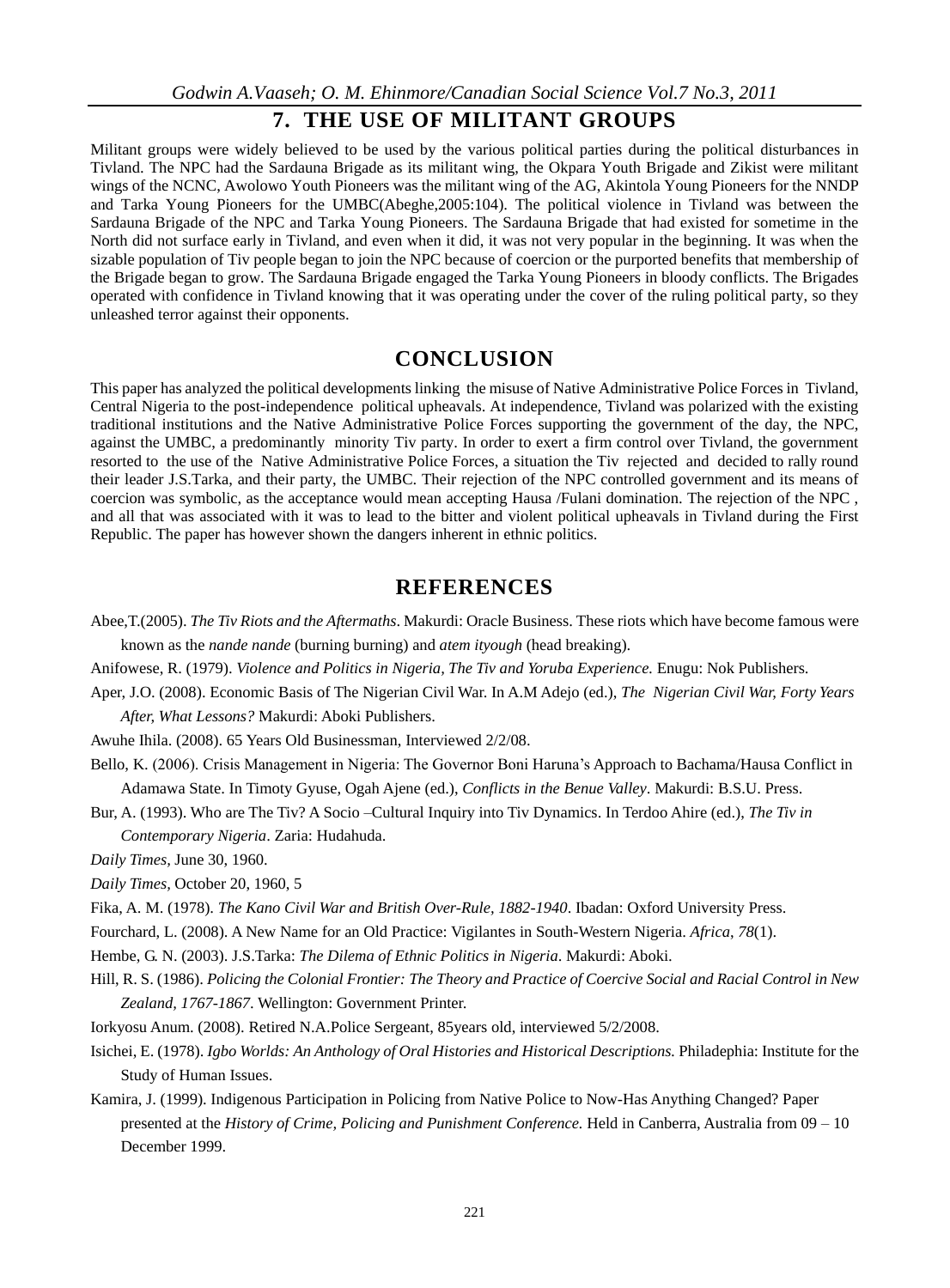### **7. THE USE OF MILITANT GROUPS**

Militant groups were widely believed to be used by the various political parties during the political disturbances in Tivland. The NPC had the Sardauna Brigade as its militant wing, the Okpara Youth Brigade and Zikist were militant wings of the NCNC, Awolowo Youth Pioneers was the militant wing of the AG, Akintola Young Pioneers for the NNDP and Tarka Young Pioneers for the UMBC(Abeghe,2005:104). The political violence in Tivland was between the Sardauna Brigade of the NPC and Tarka Young Pioneers. The Sardauna Brigade that had existed for sometime in the North did not surface early in Tivland, and even when it did, it was not very popular in the beginning. It was when the sizable population of Tiv people began to join the NPC because of coercion or the purported benefits that membership of the Brigade began to grow. The Sardauna Brigade engaged the Tarka Young Pioneers in bloody conflicts. The Brigades operated with confidence in Tivland knowing that it was operating under the cover of the ruling political party, so they unleashed terror against their opponents.

#### **CONCLUSION**

This paper has analyzed the political developments linking the misuse of Native Administrative Police Forces in Tivland, Central Nigeria to the post-independence political upheavals. At independence, Tivland was polarized with the existing traditional institutions and the Native Administrative Police Forces supporting the government of the day, the NPC, against the UMBC, a predominantly minority Tiv party. In order to exert a firm control over Tivland, the government resorted to the use of the Native Administrative Police Forces, a situation the Tiv rejected and decided to rally round their leader J.S.Tarka, and their party, the UMBC. Their rejection of the NPC controlled government and its means of coercion was symbolic, as the acceptance would mean accepting Hausa /Fulani domination. The rejection of the NPC , and all that was associated with it was to lead to the bitter and violent political upheavals in Tivland during the First Republic. The paper has however shown the dangers inherent in ethnic politics.

#### **REFERENCES**

- Abee,T.(2005). *The Tiv Riots and the Aftermaths*. Makurdi: Oracle Business. These riots which have become famous were known as the *nande nande* (burning burning) and *atem ityough* (head breaking).
- Anifowese, R. (1979). *Violence and Politics in Nigeria, The Tiv and Yoruba Experience.* Enugu: Nok Publishers.
- Aper, J.O. (2008). Economic Basis of The Nigerian Civil War. In A.M Adejo (ed.), *The Nigerian Civil War, Forty Years After, What Lessons?* Makurdi: Aboki Publishers.

Awuhe Ihila. (2008). 65 Years Old Businessman, Interviewed 2/2/08.

- Bello, K. (2006). Crisis Management in Nigeria: The Governor Boni Haruna"s Approach to Bachama/Hausa Conflict in Adamawa State. In Timoty Gyuse, Ogah Ajene (ed.), *Conflicts in the Benue Valley*. Makurdi: B.S.U. Press.
- Bur, A. (1993). Who are The Tiv? A Socio –Cultural Inquiry into Tiv Dynamics. In Terdoo Ahire (ed.), *The Tiv in Contemporary Nigeria*. Zaria: Hudahuda.

*Daily Times,* June 30, 1960.

*Daily Times,* October 20, 1960, 5

Fourchard, L. (2008). A New Name for an Old Practice: Vigilantes in South-Western Nigeria. *Africa*, *78*(1).

Hembe, G. N. (2003). J.S.Tarka: *The Dilema of Ethnic Politics in Nigeria*. Makurdi: Aboki.

- Hill, R. S. (1986). *Policing the Colonial Frontier: The Theory and Practice of Coercive Social and Racial Control in New Zealand, 1767-1867*. Wellington: Government Printer.
- Iorkyosu Anum. (2008). Retired N.A.Police Sergeant, 85years old, interviewed 5/2/2008.
- Isichei, E. (1978). *Igbo Worlds: An Anthology of Oral Histories and Historical Descriptions.* Philadephia: Institute for the Study of Human Issues.
- Kamira, J. (1999). Indigenous Participation in Policing from Native Police to Now-Has Anything Changed? Paper presented at the *History of Crime, Policing and Punishment Conference.* Held in Canberra, Australia from 09 – 10 December 1999.

Fika, A. M. (1978). *The Kano Civil War and British Over-Rule, 1882-1940*. Ibadan: Oxford University Press.